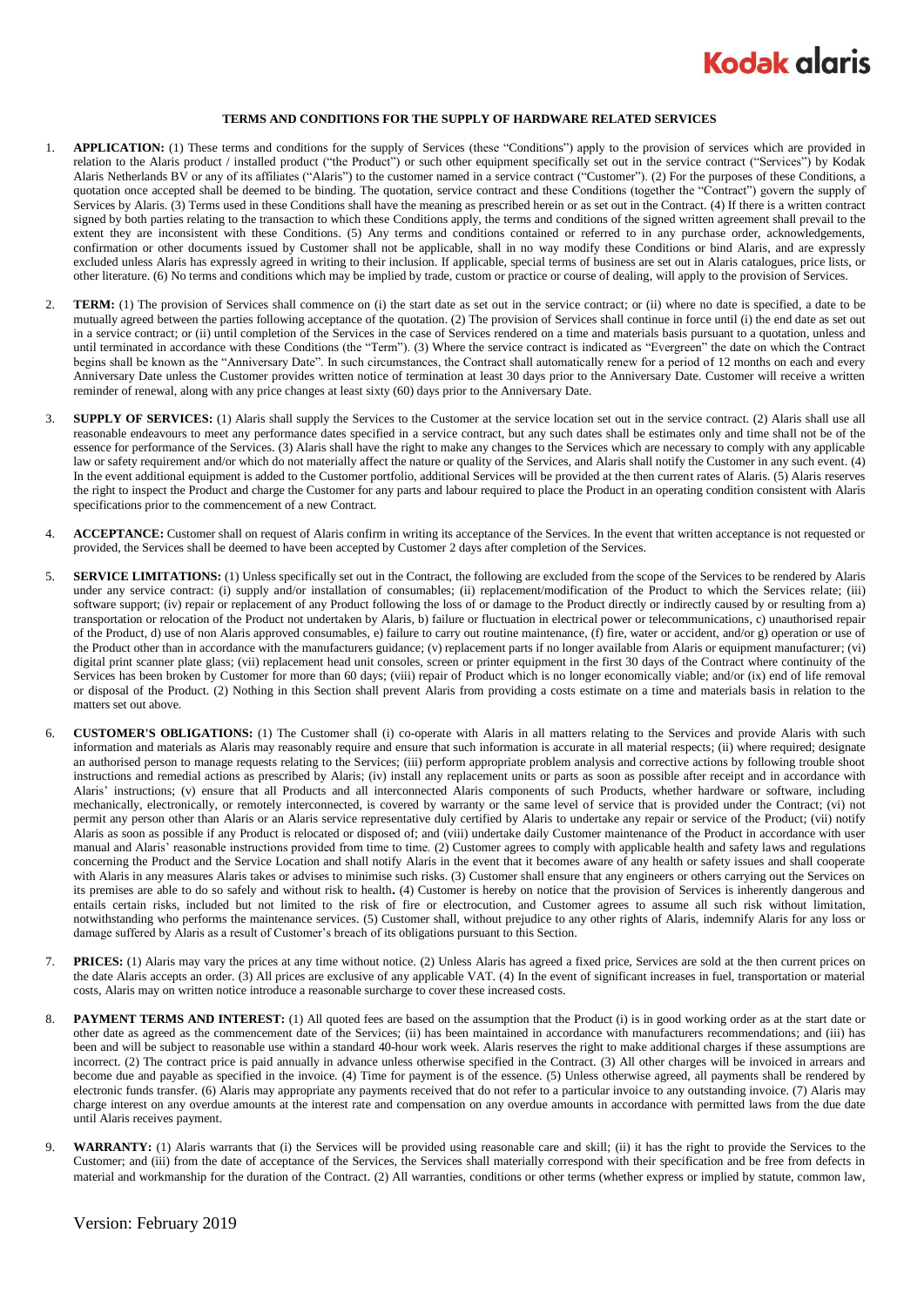

## **TERMS AND CONDITIONS FOR THE SUPPLY OF HARDWARE RELATED SERVICES**

- 1. **APPLICATION:** (1) These terms and conditions for the supply of Services (these "Conditions") apply to the provision of services which are provided in relation to the Alaris product / installed product ("the Product") or such other equipment specifically set out in the service contract ("Services") by Kodak Alaris Netherlands BV or any of its affiliates ("Alaris") to the customer named in a service contract ("Customer"). (2) For the purposes of these Conditions, a quotation once accepted shall be deemed to be binding. The quotation, service contract and these Conditions (together the "Contract") govern the supply of Services by Alaris. (3) Terms used in these Conditions shall have the meaning as prescribed herein or as set out in the Contract. (4) If there is a written contract signed by both parties relating to the transaction to which these Conditions apply, the terms and conditions of the signed written agreement shall prevail to the extent they are inconsistent with these Conditions. (5) Any terms and conditions contained or referred to in any purchase order, acknowledgements, confirmation or other documents issued by Customer shall not be applicable, shall in no way modify these Conditions or bind Alaris, and are expressly excluded unless Alaris has expressly agreed in writing to their inclusion. If applicable, special terms of business are set out in Alaris catalogues, price lists, or other literature. (6) No terms and conditions which may be implied by trade, custom or practice or course of dealing, will apply to the provision of Services.
- 2. **TERM:** (1) The provision of Services shall commence on (i) the start date as set out in the service contract; or (ii) where no date is specified, a date to be mutually agreed between the parties following acceptance of the quotation. (2) The provision of Services shall continue in force until (i) the end date as set out in a service contract; or (ii) until completion of the Services in the case of Services rendered on a time and materials basis pursuant to a quotation, unless and until terminated in accordance with these Conditions (the "Term"). (3) Where the service contract is indicated as "Evergreen" the date on which the Contract begins shall be known as the "Anniversary Date". In such circumstances, the Contract shall automatically renew for a period of 12 months on each and every Anniversary Date unless the Customer provides written notice of termination at least 30 days prior to the Anniversary Date. Customer will receive a written reminder of renewal, along with any price changes at least sixty (60) days prior to the Anniversary Date.
- 3. **SUPPLY OF SERVICES:** (1) Alaris shall supply the Services to the Customer at the service location set out in the service contract. (2) Alaris shall use all reasonable endeavours to meet any performance dates specified in a service contract, but any such dates shall be estimates only and time shall not be of the essence for performance of the Services. (3) Alaris shall have the right to make any changes to the Services which are necessary to comply with any applicable law or safety requirement and/or which do not materially affect the nature or quality of the Services, and Alaris shall notify the Customer in any such event. (4) In the event additional equipment is added to the Customer portfolio, additional Services will be provided at the then current rates of Alaris. (5) Alaris reserves the right to inspect the Product and charge the Customer for any parts and labour required to place the Product in an operating condition consistent with Alaris specifications prior to the commencement of a new Contract.
- 4. **ACCEPTANCE:** Customer shall on request of Alaris confirm in writing its acceptance of the Services. In the event that written acceptance is not requested or provided, the Services shall be deemed to have been accepted by Customer 2 days after completion of the Services.
- 5. **SERVICE LIMITATIONS:** (1) Unless specifically set out in the Contract, the following are excluded from the scope of the Services to be rendered by Alaris under any service contract: (i) supply and/or installation of consumables; (ii) replacement/modification of the Product to which the Services relate; (iii) software support; (iv) repair or replacement of any Product following the loss of or damage to the Product directly or indirectly caused by or resulting from a) transportation or relocation of the Product not undertaken by Alaris, b) failure or fluctuation in electrical power or telecommunications, c) unauthorised repair of the Product, d) use of non Alaris approved consumables, e) failure to carry out routine maintenance, (f) fire, water or accident, and/or g) operation or use of the Product other than in accordance with the manufacturers guidance; (v) replacement parts if no longer available from Alaris or equipment manufacturer; (vi) digital print scanner plate glass; (vii) replacement head unit consoles, screen or printer equipment in the first 30 days of the Contract where continuity of the Services has been broken by Customer for more than 60 days; (viii) repair of Product which is no longer economically viable; and/or (ix) end of life removal or disposal of the Product. (2) Nothing in this Section shall prevent Alaris from providing a costs estimate on a time and materials basis in relation to the matters set out above.
- <span id="page-0-0"></span>6. **CUSTOMER'S OBLIGATIONS:** (1) The Customer shall (i) co-operate with Alaris in all matters relating to the Services and provide Alaris with such information and materials as Alaris may reasonably require and ensure that such information is accurate in all material respects; (ii) where required; designate an authorised person to manage requests relating to the Services; (iii) perform appropriate problem analysis and corrective actions by following trouble shoot instructions and remedial actions as prescribed by Alaris; (iv) install any replacement units or parts as soon as possible after receipt and in accordance with Alaris' instructions; (v) ensure that all Products and all interconnected Alaris components of such Products, whether hardware or software, including mechanically, electronically, or remotely interconnected, is covered by warranty or the same level of service that is provided under the Contract; (vi) not permit any person other than Alaris or an Alaris service representative duly certified by Alaris to undertake any repair or service of the Product; (vii) notify Alaris as soon as possible if any Product is relocated or disposed of; and (viii) undertake daily Customer maintenance of the Product in accordance with user manual and Alaris' reasonable instructions provided from time to time. (2) Customer agrees to comply with applicable health and safety laws and regulations concerning the Product and the Service Location and shall notify Alaris in the event that it becomes aware of any health or safety issues and shall cooperate with Alaris in any measures Alaris takes or advises to minimise such risks. (3) Customer shall ensure that any engineers or others carrying out the Services on its premises are able to do so safely and without risk to health**.** (4) Customer is hereby on notice that the provision of Services is inherently dangerous and entails certain risks, included but not limited to the risk of fire or electrocution, and Customer agrees to assume all such risk without limitation, notwithstanding who performs the maintenance services. (5) Customer shall, without prejudice to any other rights of Alaris, indemnify Alaris for any loss or damage suffered by Alaris as a result of Customer's breach of its obligations pursuant to this Section.
- 7. **PRICES:** (1) Alaris may vary the prices at any time without notice. (2) Unless Alaris has agreed a fixed price, Services are sold at the then current prices on the date Alaris accepts an order. (3) All prices are exclusive of any applicable VAT. (4) In the event of significant increases in fuel, transportation or material costs, Alaris may on written notice introduce a reasonable surcharge to cover these increased costs.
- 8. **PAYMENT TERMS AND INTEREST:** (1) All quoted fees are based on the assumption that the Product (i) is in good working order as at the start date or other date as agreed as the commencement date of the Services; (ii) has been maintained in accordance with manufacturers recommendations; and (iii) has been and will be subject to reasonable use within a standard 40-hour work week. Alaris reserves the right to make additional charges if these assumptions are incorrect. (2) The contract price is paid annually in advance unless otherwise specified in the Contract. (3) All other charges will be invoiced in arrears and become due and payable as specified in the invoice. (4) Time for payment is of the essence. (5) Unless otherwise agreed, all payments shall be rendered by electronic funds transfer. (6) Alaris may appropriate any payments received that do not refer to a particular invoice to any outstanding invoice. (7) Alaris may charge interest on any overdue amounts at the interest rate and compensation on any overdue amounts in accordance with permitted laws from the due date until Alaris receives payment.
- 9. **WARRANTY:** (1) Alaris warrants that (i) the Services will be provided using reasonable care and skill; (ii) it has the right to provide the Services to the Customer; and (iii) from the date of acceptance of the Services, the Services shall materially correspond with their specification and be free from defects in material and workmanship for the duration of the Contract. (2) All warranties, conditions or other terms (whether express or implied by statute, common law,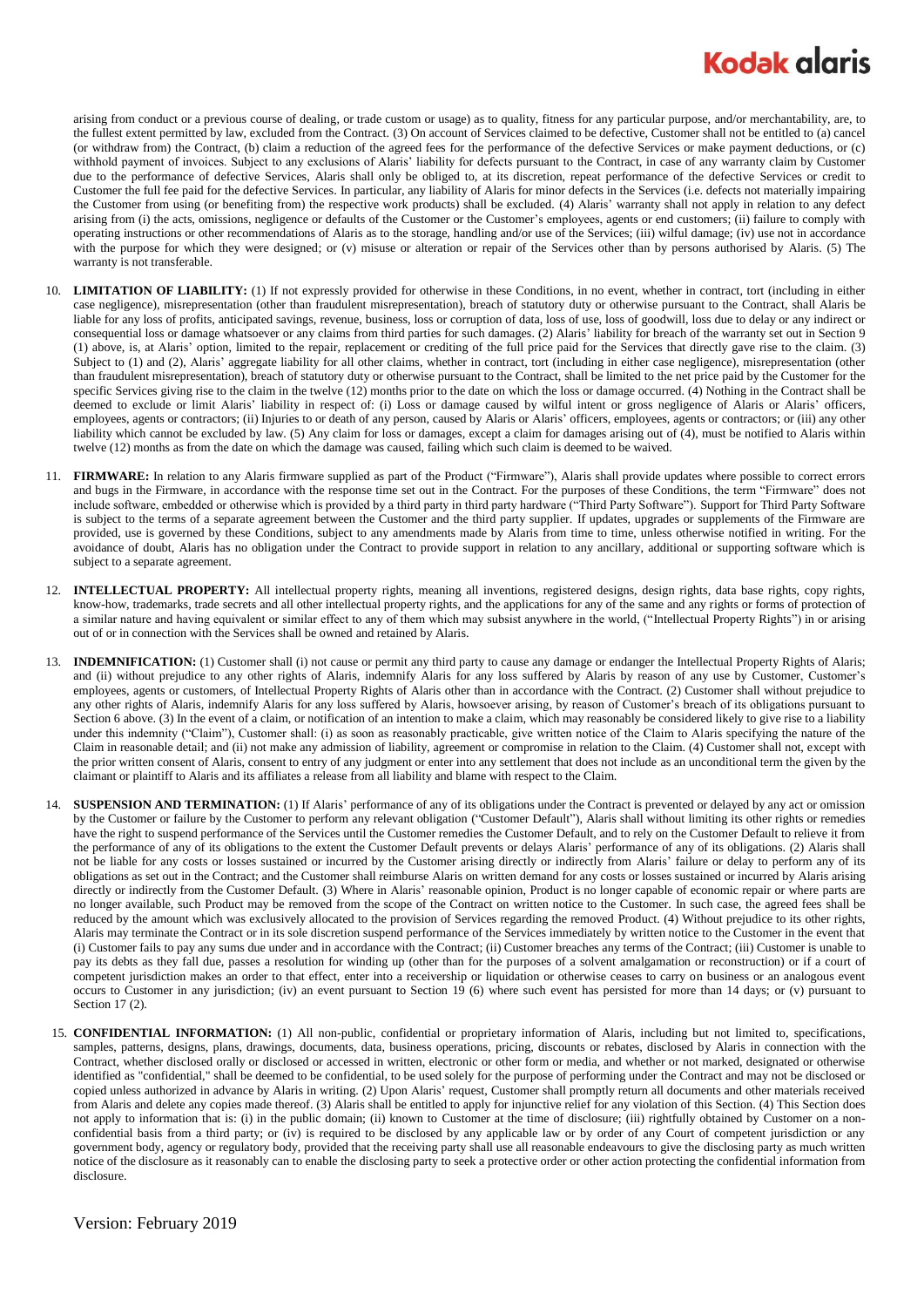## **Kodak glaris**

arising from conduct or a previous course of dealing, or trade custom or usage) as to quality, fitness for any particular purpose, and/or merchantability, are, to the fullest extent permitted by law, excluded from the Contract. (3) On account of Services claimed to be defective, Customer shall not be entitled to (a) cancel (or withdraw from) the Contract, (b) claim a reduction of the agreed fees for the performance of the defective Services or make payment deductions, or (c) withhold payment of invoices. Subject to any exclusions of Alaris' liability for defects pursuant to the Contract, in case of any warranty claim by Customer due to the performance of defective Services, Alaris shall only be obliged to, at its discretion, repeat performance of the defective Services or credit to Customer the full fee paid for the defective Services. In particular, any liability of Alaris for minor defects in the Services (i.e. defects not materially impairing the Customer from using (or benefiting from) the respective work products) shall be excluded. (4) Alaris' warranty shall not apply in relation to any defect arising from (i) the acts, omissions, negligence or defaults of the Customer or the Customer's employees, agents or end customers; (ii) failure to comply with operating instructions or other recommendations of Alaris as to the storage, handling and/or use of the Services; (iii) wilful damage; (iv) use not in accordance with the purpose for which they were designed; or (v) misuse or alteration or repair of the Services other than by persons authorised by Alaris. (5) The warranty is not transferable.

- 10. **LIMITATION OF LIABILITY:** (1) If not expressly provided for otherwise in these Conditions, in no event, whether in contract, tort (including in either case negligence), misrepresentation (other than fraudulent misrepresentation), breach of statutory duty or otherwise pursuant to the Contract, shall Alaris be liable for any loss of profits, anticipated savings, revenue, business, loss or corruption of data, loss of use, loss of goodwill, loss due to delay or any indirect or consequential loss or damage whatsoever or any claims from third parties for such damages. (2) Alaris' liability for breach of the warranty set out in Section 9 (1) above, is, at Alaris' option, limited to the repair, replacement or crediting of the full price paid for the Services that directly gave rise to the claim. (3) Subject to (1) and (2), Alaris' aggregate liability for all other claims, whether in contract, tort (including in either case negligence), misrepresentation (other than fraudulent misrepresentation), breach of statutory duty or otherwise pursuant to the Contract, shall be limited to the net price paid by the Customer for the specific Services giving rise to the claim in the twelve (12) months prior to the date on which the loss or damage occurred. (4) Nothing in the Contract shall be deemed to exclude or limit Alaris' liability in respect of: (i) Loss or damage caused by wilful intent or gross negligence of Alaris or Alaris' officers, employees, agents or contractors; (ii) Injuries to or death of any person, caused by Alaris or Alaris' officers, employees, agents or contractors; or (iii) any other liability which cannot be excluded by law. (5) Any claim for loss or damages, except a claim for damages arising out of (4), must be notified to Alaris within twelve (12) months as from the date on which the damage was caused, failing which such claim is deemed to be waived.
- 11. **FIRMWARE:** In relation to any Alaris firmware supplied as part of the Product ("Firmware"), Alaris shall provide updates where possible to correct errors and bugs in the Firmware, in accordance with the response time set out in the Contract. For the purposes of these Conditions, the term "Firmware" does not include software, embedded or otherwise which is provided by a third party in third party hardware ("Third Party Software"). Support for Third Party Software is subject to the terms of a separate agreement between the Customer and the third party supplier. If updates, upgrades or supplements of the Firmware are provided, use is governed by these Conditions, subject to any amendments made by Alaris from time to time, unless otherwise notified in writing. For the avoidance of doubt, Alaris has no obligation under the Contract to provide support in relation to any ancillary, additional or supporting software which is subject to a separate agreement.
- 12. **INTELLECTUAL PROPERTY:** All intellectual property rights, meaning all inventions, registered designs, design rights, data base rights, copy rights, know-how, trademarks, trade secrets and all other intellectual property rights, and the applications for any of the same and any rights or forms of protection of a similar nature and having equivalent or similar effect to any of them which may subsist anywhere in the world, ("Intellectual Property Rights") in or arising out of or in connection with the Services shall be owned and retained by Alaris.
- 13. **INDEMNIFICATION:** (1) Customer shall (i) not cause or permit any third party to cause any damage or endanger the Intellectual Property Rights of Alaris; and (ii) without prejudice to any other rights of Alaris, indemnify Alaris for any loss suffered by Alaris by reason of any use by Customer, Customer's employees, agents or customers, of Intellectual Property Rights of Alaris other than in accordance with the Contract. (2) Customer shall without prejudice to any other rights of Alaris, indemnify Alaris for any loss suffered by Alaris, howsoever arising, by reason of Customer's breach of its obligations pursuant to Sectio[n 6](#page-0-0) above. (3) In the event of a claim, or notification of an intention to make a claim, which may reasonably be considered likely to give rise to a liability under this indemnity ("Claim"), Customer shall: (i) as soon as reasonably practicable, give written notice of the Claim to Alaris specifying the nature of the Claim in reasonable detail; and (ii) not make any admission of liability, agreement or compromise in relation to the Claim. (4) Customer shall not, except with the prior written consent of Alaris, consent to entry of any judgment or enter into any settlement that does not include as an unconditional term the given by the claimant or plaintiff to Alaris and its affiliates a release from all liability and blame with respect to the Claim.
- 14. **SUSPENSION AND TERMINATION:** (1) If Alaris' performance of any of its obligations under the Contract is prevented or delayed by any act or omission by the Customer or failure by the Customer to perform any relevant obligation ("Customer Default"), Alaris shall without limiting its other rights or remedies have the right to suspend performance of the Services until the Customer remedies the Customer Default, and to rely on the Customer Default to relieve it from the performance of any of its obligations to the extent the Customer Default prevents or delays Alaris' performance of any of its obligations. (2) Alaris shall not be liable for any costs or losses sustained or incurred by the Customer arising directly or indirectly from Alaris' failure or delay to perform any of its obligations as set out in the Contract; and the Customer shall reimburse Alaris on written demand for any costs or losses sustained or incurred by Alaris arising directly or indirectly from the Customer Default. (3) Where in Alaris' reasonable opinion, Product is no longer capable of economic repair or where parts are no longer available, such Product may be removed from the scope of the Contract on written notice to the Customer. In such case, the agreed fees shall be reduced by the amount which was exclusively allocated to the provision of Services regarding the removed Product. (4) Without prejudice to its other rights, Alaris may terminate the Contract or in its sole discretion suspend performance of the Services immediately by written notice to the Customer in the event that (i) Customer fails to pay any sums due under and in accordance with the Contract; (ii) Customer breaches any terms of the Contract; (iii) Customer is unable to pay its debts as they fall due, passes a resolution for winding up (other than for the purposes of a solvent amalgamation or reconstruction) or if a court of competent jurisdiction makes an order to that effect, enter into a receivership or liquidation or otherwise ceases to carry on business or an analogous event occurs to Customer in any jurisdiction; (iv) an event pursuant to Section 19 (6) where such event has persisted for more than 14 days; or (v) pursuant to Sectio[n 17](#page-2-0) (2).
- 15. **CONFIDENTIAL INFORMATION:** (1) All non-public, confidential or proprietary information of Alaris, including but not limited to, specifications, samples, patterns, designs, plans, drawings, documents, data, business operations, pricing, discounts or rebates, disclosed by Alaris in connection with the Contract, whether disclosed orally or disclosed or accessed in written, electronic or other form or media, and whether or not marked, designated or otherwise identified as "confidential," shall be deemed to be confidential, to be used solely for the purpose of performing under the Contract and may not be disclosed or copied unless authorized in advance by Alaris in writing. (2) Upon Alaris' request, Customer shall promptly return all documents and other materials received from Alaris and delete any copies made thereof. (3) Alaris shall be entitled to apply for injunctive relief for any violation of this Section. (4) This Section does not apply to information that is: (i) in the public domain; (ii) known to Customer at the time of disclosure; (iii) rightfully obtained by Customer on a nonconfidential basis from a third party; or (iv) is required to be disclosed by any applicable law or by order of any Court of competent jurisdiction or any government body, agency or regulatory body, provided that the receiving party shall use all reasonable endeavours to give the disclosing party as much written notice of the disclosure as it reasonably can to enable the disclosing party to seek a protective order or other action protecting the confidential information from disclosure.